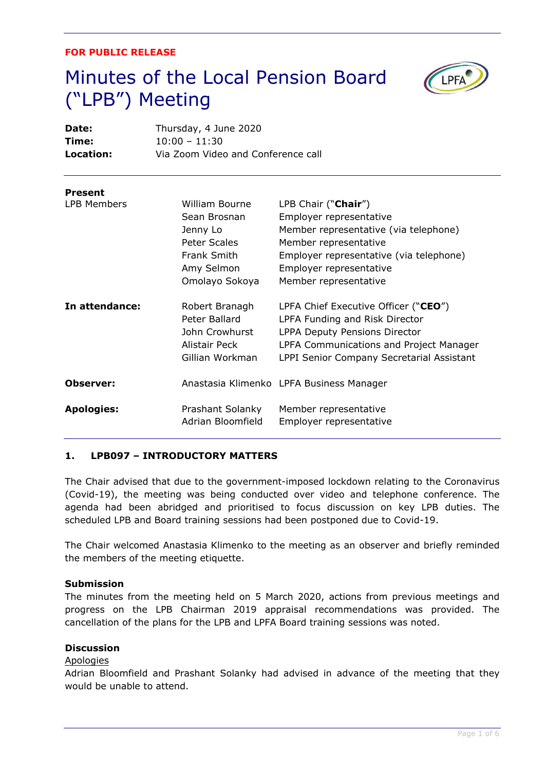### **FOR PUBLIC RELEASE**

# Minutes of the Local Pension Board ("LPB") Meeting



| Date:<br>Time:<br>Location: | Thursday, 4 June 2020<br>$10:00 - 11:30$<br>Via Zoom Video and Conference call                            |                                                                                                                                                                                                                 |
|-----------------------------|-----------------------------------------------------------------------------------------------------------|-----------------------------------------------------------------------------------------------------------------------------------------------------------------------------------------------------------------|
| <b>Present</b>              |                                                                                                           |                                                                                                                                                                                                                 |
| <b>LPB Members</b>          | William Bourne<br>Sean Brosnan<br>Jenny Lo<br>Peter Scales<br>Frank Smith<br>Amy Selmon<br>Omolayo Sokoya | LPB Chair ("Chair")<br>Employer representative<br>Member representative (via telephone)<br>Member representative<br>Employer representative (via telephone)<br>Employer representative<br>Member representative |
| In attendance:              | Robert Branagh<br>Peter Ballard<br>John Crowhurst<br>Alistair Peck<br>Gillian Workman                     | LPFA Chief Executive Officer ("CEO")<br>LPFA Funding and Risk Director<br><b>LPPA Deputy Pensions Director</b><br>LPFA Communications and Project Manager<br>LPPI Senior Company Secretarial Assistant          |
| Observer:                   |                                                                                                           | Anastasia Klimenko LPFA Business Manager                                                                                                                                                                        |
| <b>Apologies:</b>           | Prashant Solanky<br>Adrian Bloomfield                                                                     | Member representative<br>Employer representative                                                                                                                                                                |

# **1. LPB097 – INTRODUCTORY MATTERS**

The Chair advised that due to the government-imposed lockdown relating to the Coronavirus (Covid-19), the meeting was being conducted over video and telephone conference. The agenda had been abridged and prioritised to focus discussion on key LPB duties. The scheduled LPB and Board training sessions had been postponed due to Covid-19.

The Chair welcomed Anastasia Klimenko to the meeting as an observer and briefly reminded the members of the meeting etiquette.

### **Submission**

The minutes from the meeting held on 5 March 2020, actions from previous meetings and progress on the LPB Chairman 2019 appraisal recommendations was provided. The cancellation of the plans for the LPB and LPFA Board training sessions was noted.

# **Discussion**

#### Apologies

Adrian Bloomfield and Prashant Solanky had advised in advance of the meeting that they would be unable to attend.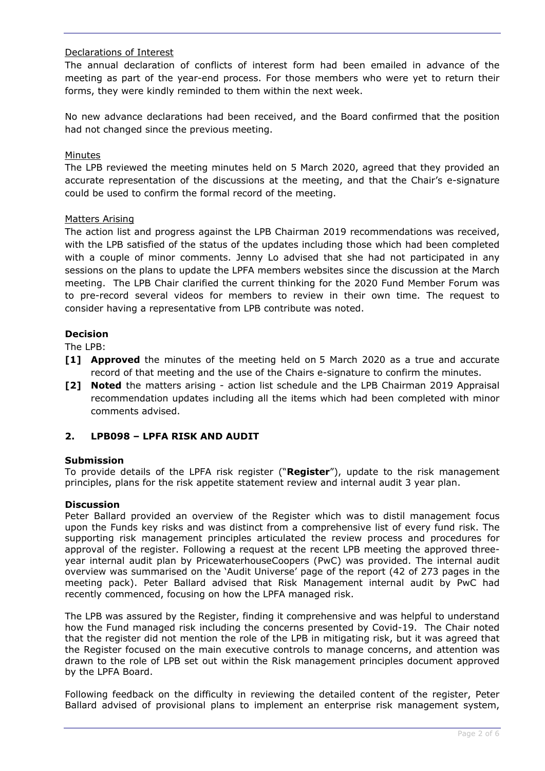# Declarations of Interest

The annual declaration of conflicts of interest form had been emailed in advance of the meeting as part of the year-end process. For those members who were yet to return their forms, they were kindly reminded to them within the next week.

No new advance declarations had been received, and the Board confirmed that the position had not changed since the previous meeting.

## Minutes

The LPB reviewed the meeting minutes held on 5 March 2020, agreed that they provided an accurate representation of the discussions at the meeting, and that the Chair's e-signature could be used to confirm the formal record of the meeting.

## Matters Arising

The action list and progress against the LPB Chairman 2019 recommendations was received, with the LPB satisfied of the status of the updates including those which had been completed with a couple of minor comments. Jenny Lo advised that she had not participated in any sessions on the plans to update the LPFA members websites since the discussion at the March meeting. The LPB Chair clarified the current thinking for the 2020 Fund Member Forum was to pre-record several videos for members to review in their own time. The request to consider having a representative from LPB contribute was noted.

## **Decision**

The LPB:

- **[1] Approved** the minutes of the meeting held on 5 March 2020 as a true and accurate record of that meeting and the use of the Chairs e-signature to confirm the minutes.
- **[2] Noted** the matters arising action list schedule and the LPB Chairman 2019 Appraisal recommendation updates including all the items which had been completed with minor comments advised.

# **2. LPB098 – LPFA RISK AND AUDIT**

### **Submission**

To provide details of the LPFA risk register ("**Register**"), update to the risk management principles, plans for the risk appetite statement review and internal audit 3 year plan.

### **Discussion**

Peter Ballard provided an overview of the Register which was to distil management focus upon the Funds key risks and was distinct from a comprehensive list of every fund risk. The supporting risk management principles articulated the review process and procedures for approval of the register. Following a request at the recent LPB meeting the approved threeyear internal audit plan by PricewaterhouseCoopers (PwC) was provided. The internal audit overview was summarised on the 'Audit Universe' page of the report (42 of 273 pages in the meeting pack). Peter Ballard advised that Risk Management internal audit by PwC had recently commenced, focusing on how the LPFA managed risk.

The LPB was assured by the Register, finding it comprehensive and was helpful to understand how the Fund managed risk including the concerns presented by Covid-19. The Chair noted that the register did not mention the role of the LPB in mitigating risk, but it was agreed that the Register focused on the main executive controls to manage concerns, and attention was drawn to the role of LPB set out within the Risk management principles document approved by the LPFA Board.

Following feedback on the difficulty in reviewing the detailed content of the register, Peter Ballard advised of provisional plans to implement an enterprise risk management system,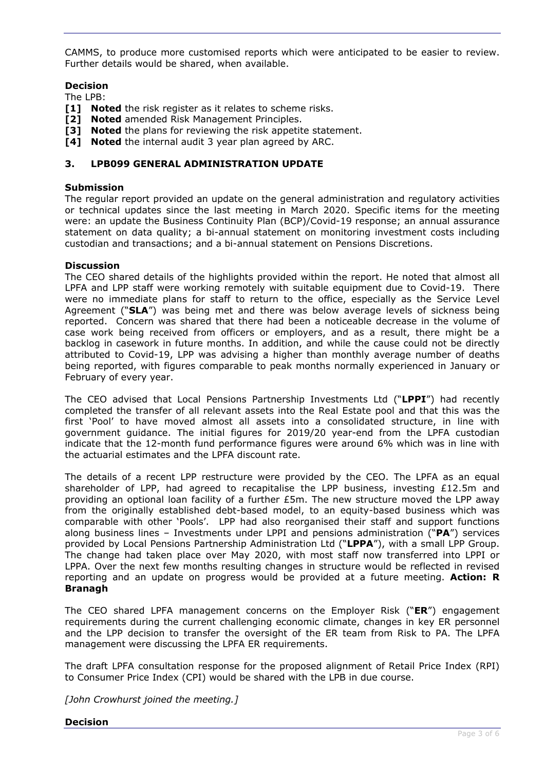CAMMS, to produce more customised reports which were anticipated to be easier to review. Further details would be shared, when available.

# **Decision**

The LPB:

- **[1] Noted** the risk register as it relates to scheme risks.
- **[2] Noted** amended Risk Management Principles.
- **[3] Noted** the plans for reviewing the risk appetite statement.
- **[4] Noted** the internal audit 3 year plan agreed by ARC.

## **3. LPB099 GENERAL ADMINISTRATION UPDATE**

### **Submission**

The regular report provided an update on the general administration and regulatory activities or technical updates since the last meeting in March 2020. Specific items for the meeting were: an update the Business Continuity Plan (BCP)/Covid-19 response; an annual assurance statement on data quality; a bi-annual statement on monitoring investment costs including custodian and transactions; and a bi-annual statement on Pensions Discretions.

## **Discussion**

The CEO shared details of the highlights provided within the report. He noted that almost all LPFA and LPP staff were working remotely with suitable equipment due to Covid-19. There were no immediate plans for staff to return to the office, especially as the Service Level Agreement ("**SLA**") was being met and there was below average levels of sickness being reported. Concern was shared that there had been a noticeable decrease in the volume of case work being received from officers or employers, and as a result, there might be a backlog in casework in future months. In addition, and while the cause could not be directly attributed to Covid-19, LPP was advising a higher than monthly average number of deaths being reported, with figures comparable to peak months normally experienced in January or February of every year.

The CEO advised that Local Pensions Partnership Investments Ltd ("**LPPI**") had recently completed the transfer of all relevant assets into the Real Estate pool and that this was the first 'Pool' to have moved almost all assets into a consolidated structure, in line with government guidance. The initial figures for 2019/20 year-end from the LPFA custodian indicate that the 12-month fund performance figures were around 6% which was in line with the actuarial estimates and the LPFA discount rate.

The details of a recent LPP restructure were provided by the CEO. The LPFA as an equal shareholder of LPP, had agreed to recapitalise the LPP business, investing  $£12.5m$  and providing an optional loan facility of a further £5m. The new structure moved the LPP away from the originally established debt-based model, to an equity-based business which was comparable with other 'Pools'. LPP had also reorganised their staff and support functions along business lines – Investments under LPPI and pensions administration ("**PA**") services provided by Local Pensions Partnership Administration Ltd ("**LPPA**"), with a small LPP Group. The change had taken place over May 2020, with most staff now transferred into LPPI or LPPA. Over the next few months resulting changes in structure would be reflected in revised reporting and an update on progress would be provided at a future meeting. **Action: R Branagh**

The CEO shared LPFA management concerns on the Employer Risk ("**ER**") engagement requirements during the current challenging economic climate, changes in key ER personnel and the LPP decision to transfer the oversight of the ER team from Risk to PA. The LPFA management were discussing the LPFA ER requirements.

The draft LPFA consultation response for the proposed alignment of Retail Price Index (RPI) to Consumer Price Index (CPI) would be shared with the LPB in due course.

*[John Crowhurst joined the meeting.]*

**Decision**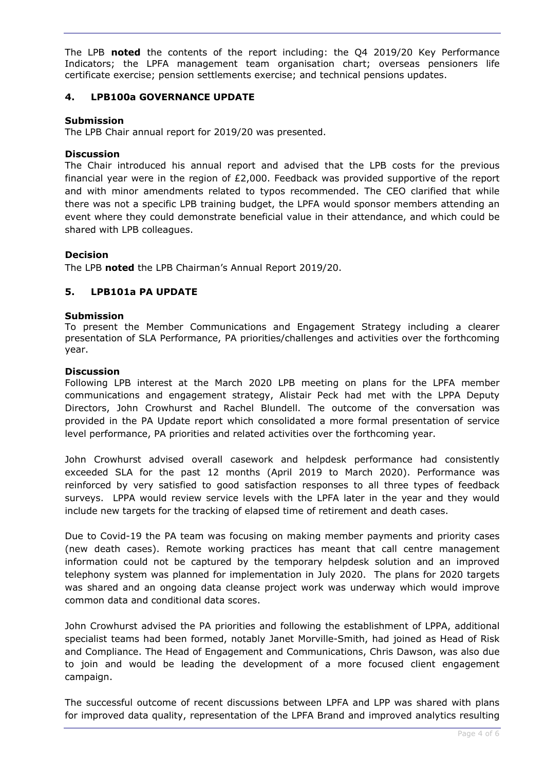The LPB **noted** the contents of the report including: the Q4 2019/20 Key Performance Indicators; the LPFA management team organisation chart; overseas pensioners life certificate exercise; pension settlements exercise; and technical pensions updates.

# **4. LPB100a GOVERNANCE UPDATE**

## **Submission**

The LPB Chair annual report for 2019/20 was presented.

## **Discussion**

The Chair introduced his annual report and advised that the LPB costs for the previous financial year were in the region of £2,000. Feedback was provided supportive of the report and with minor amendments related to typos recommended. The CEO clarified that while there was not a specific LPB training budget, the LPFA would sponsor members attending an event where they could demonstrate beneficial value in their attendance, and which could be shared with LPB colleagues.

## **Decision**

The LPB **noted** the LPB Chairman's Annual Report 2019/20.

## **5. LPB101a PA UPDATE**

### **Submission**

To present the Member Communications and Engagement Strategy including a clearer presentation of SLA Performance, PA priorities/challenges and activities over the forthcoming year.

### **Discussion**

Following LPB interest at the March 2020 LPB meeting on plans for the LPFA member communications and engagement strategy, Alistair Peck had met with the LPPA Deputy Directors, John Crowhurst and Rachel Blundell. The outcome of the conversation was provided in the PA Update report which consolidated a more formal presentation of service level performance, PA priorities and related activities over the forthcoming year.

John Crowhurst advised overall casework and helpdesk performance had consistently exceeded SLA for the past 12 months (April 2019 to March 2020). Performance was reinforced by very satisfied to good satisfaction responses to all three types of feedback surveys. LPPA would review service levels with the LPFA later in the year and they would include new targets for the tracking of elapsed time of retirement and death cases.

Due to Covid-19 the PA team was focusing on making member payments and priority cases (new death cases). Remote working practices has meant that call centre management information could not be captured by the temporary helpdesk solution and an improved telephony system was planned for implementation in July 2020. The plans for 2020 targets was shared and an ongoing data cleanse project work was underway which would improve common data and conditional data scores.

John Crowhurst advised the PA priorities and following the establishment of LPPA, additional specialist teams had been formed, notably Janet Morville-Smith, had joined as Head of Risk and Compliance. The Head of Engagement and Communications, Chris Dawson, was also due to join and would be leading the development of a more focused client engagement campaign.

The successful outcome of recent discussions between LPFA and LPP was shared with plans for improved data quality, representation of the LPFA Brand and improved analytics resulting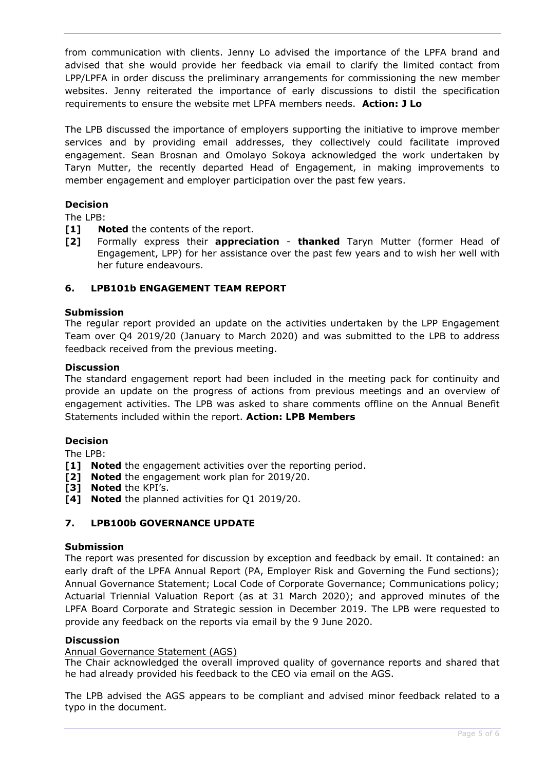from communication with clients. Jenny Lo advised the importance of the LPFA brand and advised that she would provide her feedback via email to clarify the limited contact from LPP/LPFA in order discuss the preliminary arrangements for commissioning the new member websites. Jenny reiterated the importance of early discussions to distil the specification requirements to ensure the website met LPFA members needs. **Action: J Lo**

The LPB discussed the importance of employers supporting the initiative to improve member services and by providing email addresses, they collectively could facilitate improved engagement. Sean Brosnan and Omolayo Sokoya acknowledged the work undertaken by Taryn Mutter, the recently departed Head of Engagement, in making improvements to member engagement and employer participation over the past few years.

# **Decision**

The LPB:

- **[1] Noted** the contents of the report.
- **[2]** Formally express their **appreciation thanked** Taryn Mutter (former Head of Engagement, LPP) for her assistance over the past few years and to wish her well with her future endeavours.

# **6. LPB101b ENGAGEMENT TEAM REPORT**

### **Submission**

The regular report provided an update on the activities undertaken by the LPP Engagement Team over Q4 2019/20 (January to March 2020) and was submitted to the LPB to address feedback received from the previous meeting.

### **Discussion**

The standard engagement report had been included in the meeting pack for continuity and provide an update on the progress of actions from previous meetings and an overview of engagement activities. The LPB was asked to share comments offline on the Annual Benefit Statements included within the report. **Action: LPB Members**

## **Decision**

The LPB:

- **[1] Noted** the engagement activities over the reporting period.
- **[2] Noted** the engagement work plan for 2019/20.
- **[3] Noted** the KPI's.
- **[4] Noted** the planned activities for Q1 2019/20.

# **7. LPB100b GOVERNANCE UPDATE**

## **Submission**

The report was presented for discussion by exception and feedback by email. It contained: an early draft of the LPFA Annual Report (PA, Employer Risk and Governing the Fund sections); Annual Governance Statement; Local Code of Corporate Governance; Communications policy; Actuarial Triennial Valuation Report (as at 31 March 2020); and approved minutes of the LPFA Board Corporate and Strategic session in December 2019. The LPB were requested to provide any feedback on the reports via email by the 9 June 2020.

### **Discussion**

### Annual Governance Statement (AGS)

The Chair acknowledged the overall improved quality of governance reports and shared that he had already provided his feedback to the CEO via email on the AGS.

The LPB advised the AGS appears to be compliant and advised minor feedback related to a typo in the document.